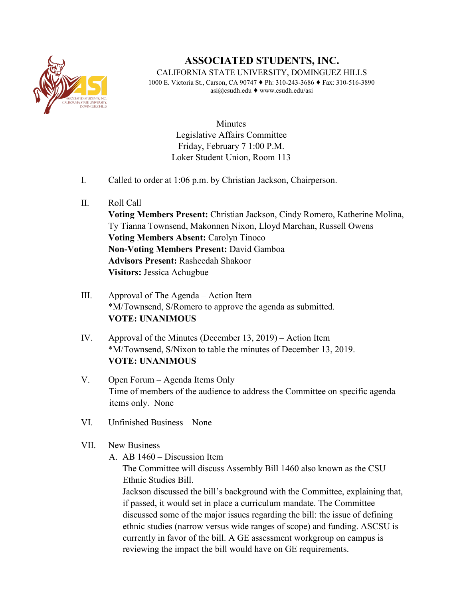

## **ASSOCIATED STUDENTS, INC.**

CALIFORNIA STATE UNIVERSITY, DOMINGUEZ HILLS 1000 E. Victoria St., Carson, CA 90747 ♦ Ph: 310-243-3686 ♦ Fax: 310-516-3890 asi@csudh.edu ♦ www.csudh.edu/asi

> **Minutes** Legislative Affairs Committee Friday, February 7 1:00 P.M. Loker Student Union, Room 113

- I. Called to order at 1:06 p.m. by Christian Jackson, Chairperson.
- II. Roll Call

**Voting Members Present:** Christian Jackson, Cindy Romero, Katherine Molina, Ty Tianna Townsend, Makonnen Nixon, Lloyd Marchan, Russell Owens **Voting Members Absent:** Carolyn Tinoco **Non-Voting Members Present:** David Gamboa **Advisors Present:** Rasheedah Shakoor **Visitors:** Jessica Achugbue

- III. Approval of The Agenda Action Item \*M/Townsend, S/Romero to approve the agenda as submitted. **VOTE: UNANIMOUS**
- IV. Approval of the Minutes (December 13, 2019) Action Item \*M/Townsend, S/Nixon to table the minutes of December 13, 2019. **VOTE: UNANIMOUS**
- V. Open Forum Agenda Items Only Time of members of the audience to address the Committee on specific agenda items only. None
- VI. Unfinished Business None

## VII. New Business

A. AB 1460 – Discussion Item

The Committee will discuss Assembly Bill 1460 also known as the CSU Ethnic Studies Bill.

Jackson discussed the bill's background with the Committee, explaining that, if passed, it would set in place a curriculum mandate. The Committee discussed some of the major issues regarding the bill: the issue of defining ethnic studies (narrow versus wide ranges of scope) and funding. ASCSU is currently in favor of the bill. A GE assessment workgroup on campus is reviewing the impact the bill would have on GE requirements.